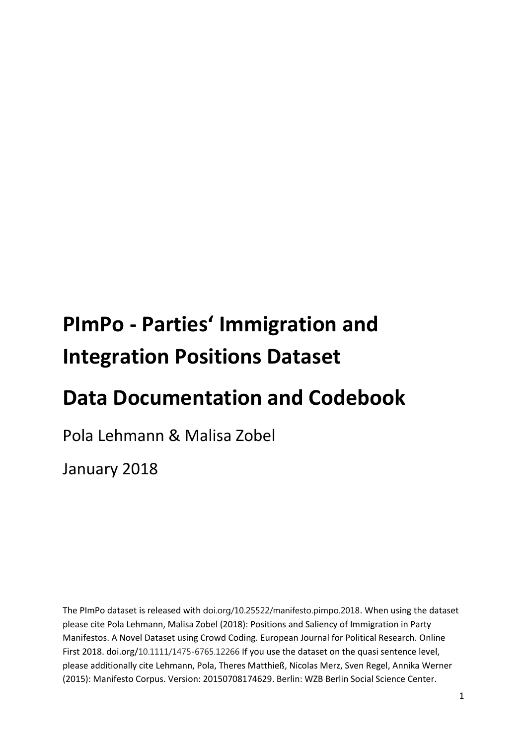# **PImPo - Parties' Immigration and Integration Positions Dataset**

## **Data Documentation and Codebook**

Pola Lehmann & Malisa Zobel

January 2018

The PImPo dataset is released with doi.org/10.25522/manifesto.pimpo.2018. When using the dataset please cite Pola Lehmann, Malisa Zobel (2018): Positions and Saliency of Immigration in Party Manifestos. A Novel Dataset using Crowd Coding. European Journal for Political Research. Online First 2018. doi.org/10.1111/1475-6765.12266 If you use the dataset on the quasi sentence level, please additionally cite Lehmann, Pola, Theres Matthieß, Nicolas Merz, Sven Regel, Annika Werner (2015): Manifesto Corpus. Version: 20150708174629. Berlin: WZB Berlin Social Science Center.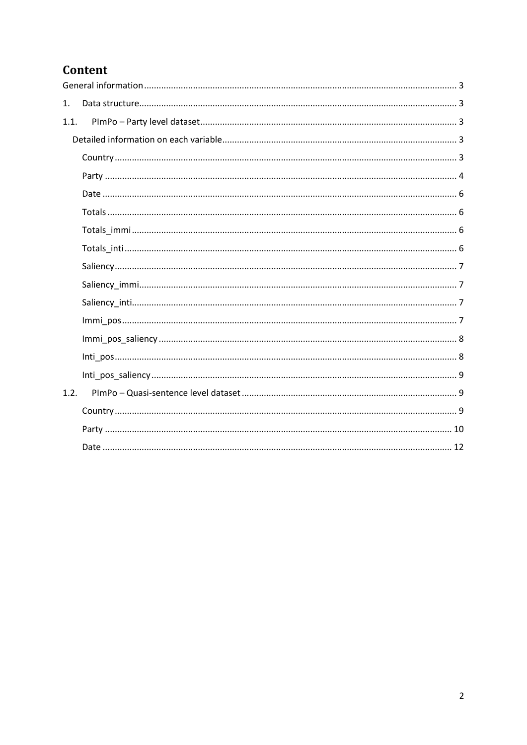## Content

| 1.   |  |
|------|--|
| 1.1. |  |
|      |  |
|      |  |
|      |  |
|      |  |
|      |  |
|      |  |
|      |  |
|      |  |
|      |  |
|      |  |
|      |  |
|      |  |
|      |  |
|      |  |
| 1.2. |  |
|      |  |
|      |  |
|      |  |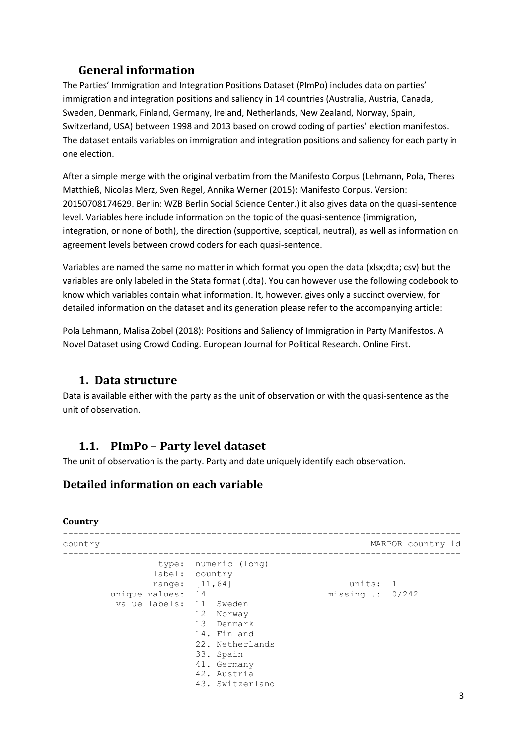## **General information**

<span id="page-2-0"></span>The Parties' Immigration and Integration Positions Dataset (PImPo) includes data on parties' immigration and integration positions and saliency in 14 countries (Australia, Austria, Canada, Sweden, Denmark, Finland, Germany, Ireland, Netherlands, New Zealand, Norway, Spain, Switzerland, USA) between 1998 and 2013 based on crowd coding of parties' election manifestos. The dataset entails variables on immigration and integration positions and saliency for each party in one election.

After a simple merge with the original verbatim from the Manifesto Corpus (Lehmann, Pola, Theres Matthieß, Nicolas Merz, Sven Regel, Annika Werner (2015): Manifesto Corpus. Version: 20150708174629. Berlin: WZB Berlin Social Science Center.) it also gives data on the quasi-sentence level. Variables here include information on the topic of the quasi-sentence (immigration, integration, or none of both), the direction (supportive, sceptical, neutral), as well as information on agreement levels between crowd coders for each quasi-sentence.

Variables are named the same no matter in which format you open the data (xlsx;dta; csv) but the variables are only labeled in the Stata format (.dta). You can however use the following codebook to know which variables contain what information. It, however, gives only a succinct overview, for detailed information on the dataset and its generation please refer to the accompanying article:

Pola Lehmann, Malisa Zobel (2018): Positions and Saliency of Immigration in Party Manifestos. A Novel Dataset using Crowd Coding. European Journal for Political Research. Online First.

## <span id="page-2-1"></span>**1. Data structure**

Data is available either with the party as the unit of observation or with the quasi-sentence as the unit of observation.

## <span id="page-2-2"></span>**1.1. PImPo – Party level dataset**

The unit of observation is the party. Party and date uniquely identify each observation.

## <span id="page-2-3"></span>**Detailed information on each variable**

## <span id="page-2-4"></span>**Country**

| country |                                                              |                                                                                                                                                                                        |                                        | MARPOR country id |
|---------|--------------------------------------------------------------|----------------------------------------------------------------------------------------------------------------------------------------------------------------------------------------|----------------------------------------|-------------------|
|         | type:<br>label:<br>range:<br>unique values:<br>value labels: | numeric (long)<br>country<br>[11, 64]<br>14<br>11 Sweden<br>12<br>Norway<br>13 Denmark<br>14. Finland<br>22. Netherlands<br>33. Spain<br>41. Germany<br>42. Austria<br>43. Switzerland | units: 1<br>missing $\therefore$ 0/242 |                   |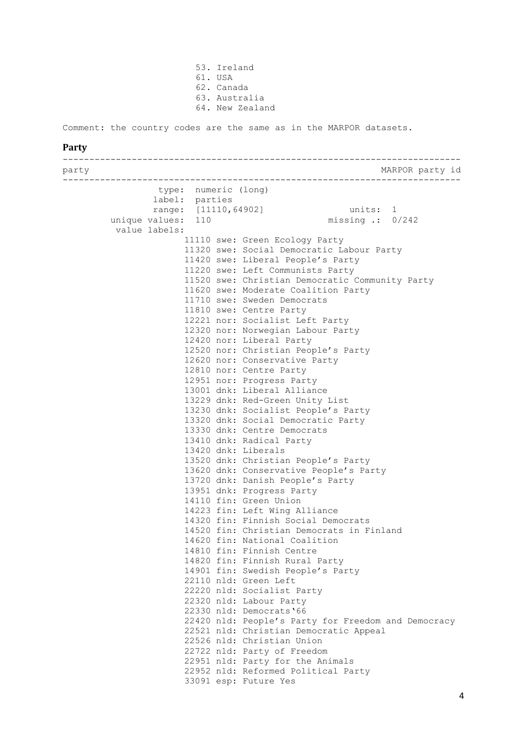53. Ireland 61. USA 62. Canada 63. Australia 64. New Zealand

<span id="page-3-0"></span>Comment: the country codes are the same as in the MARPOR datasets.

#### **Party**

-------------------------------------------------------------------------- party MARPOR party id -------------------------------------------------------------------------- type: numeric (long) label: parties range: [11110,64902] units: 1 unique values: 110 missing .: 0/242 value labels: 11110 swe: Green Ecology Party 11320 swe: Social Democratic Labour Party 11420 swe: Liberal People's Party 11220 swe: Left Communists Party 11520 swe: Christian Democratic Community Party 11620 swe: Moderate Coalition Party 11710 swe: Sweden Democrats 11810 swe: Centre Party 12221 nor: Socialist Left Party 12320 nor: Norwegian Labour Party 12420 nor: Liberal Party 12520 nor: Christian People's Party 12620 nor: Conservative Party 12810 nor: Centre Party 12951 nor: Progress Party 13001 dnk: Liberal Alliance 13229 dnk: Red-Green Unity List 13230 dnk: Socialist People's Party 13320 dnk: Social Democratic Party 13330 dnk: Centre Democrats 13410 dnk: Radical Party 13420 dnk: Liberals 13520 dnk: Christian People's Party 13620 dnk: Conservative People's Party 13720 dnk: Danish People's Party 13951 dnk: Progress Party 14110 fin: Green Union 14223 fin: Left Wing Alliance 14320 fin: Finnish Social Democrats 14520 fin: Christian Democrats in Finland 14620 fin: National Coalition 14810 fin: Finnish Centre 14820 fin: Finnish Rural Party 14901 fin: Swedish People's Party 22110 nld: Green Left 22220 nld: Socialist Party 22320 nld: Labour Party 22330 nld: Democrats'66 22420 nld: People's Party for Freedom and Democracy 22521 nld: Christian Democratic Appeal 22526 nld: Christian Union 22722 nld: Party of Freedom 22951 nld: Party for the Animals 22952 nld: Reformed Political Party 33091 esp: Future Yes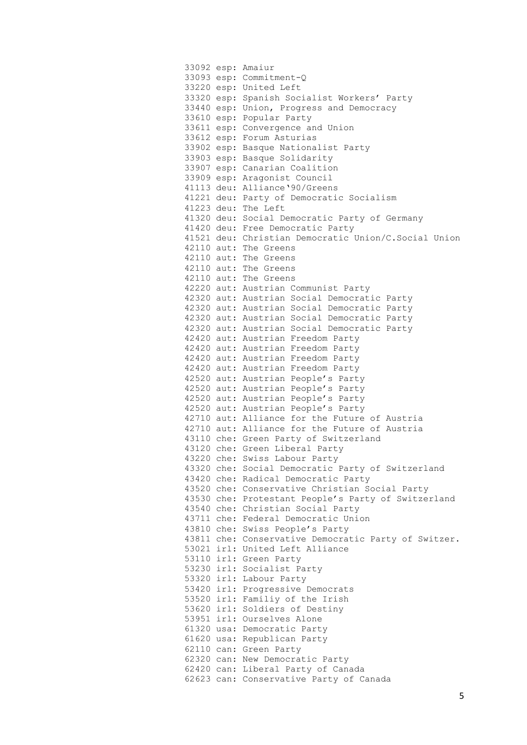|  | 33092 esp: Amaiur                                    |
|--|------------------------------------------------------|
|  | 33093 esp: Commitment-Q                              |
|  | 33220 esp: United Left                               |
|  | 33320 esp: Spanish Socialist Workers' Party          |
|  | 33440 esp: Union, Progress and Democracy             |
|  | 33610 esp: Popular Party                             |
|  | 33611 esp: Convergence and Union                     |
|  | 33612 esp: Forum Asturias                            |
|  | 33902 esp: Basque Nationalist Party                  |
|  | 33903 esp: Basque Solidarity                         |
|  | 33907 esp: Canarian Coalition                        |
|  | 33909 esp: Aragonist Council                         |
|  | 41113 deu: Alliance '90/Greens                       |
|  | 41221 deu: Party of Democratic Socialism             |
|  | 41223 deu: The Left                                  |
|  | 41320 deu: Social Democratic Party of Germany        |
|  | 41420 deu: Free Democratic Party                     |
|  | 41521 deu: Christian Democratic Union/C.Social Union |
|  | 42110 aut: The Greens                                |
|  | 42110 aut: The Greens                                |
|  | 42110 aut: The Greens                                |
|  |                                                      |
|  | 42110 aut: The Greens                                |
|  | 42220 aut: Austrian Communist Party                  |
|  | 42320 aut: Austrian Social Democratic Party          |
|  | 42320 aut: Austrian Social Democratic Party          |
|  | 42320 aut: Austrian Social Democratic Party          |
|  | 42320 aut: Austrian Social Democratic Party          |
|  | 42420 aut: Austrian Freedom Party                    |
|  | 42420 aut: Austrian Freedom Party                    |
|  | 42420 aut: Austrian Freedom Party                    |
|  | 42420 aut: Austrian Freedom Party                    |
|  | 42520 aut: Austrian People's Party                   |
|  | 42520 aut: Austrian People's Party                   |
|  | 42520 aut: Austrian People's Party                   |
|  | 42520 aut: Austrian People's Party                   |
|  | 42710 aut: Alliance for the Future of Austria        |
|  | 42710 aut: Alliance for the Future of Austria        |
|  | 43110 che: Green Party of Switzerland                |
|  | 43120 che: Green Liberal Party                       |
|  | 43220 che: Swiss Labour Party                        |
|  | 43320 che: Social Democratic Party of Switzerland    |
|  | 43420 che: Radical Democratic Party                  |
|  | 43520 che: Conservative Christian Social Party       |
|  | 43530 che: Protestant People's Party of Switzerland  |
|  | 43540 che: Christian Social Party                    |
|  | 43711 che: Federal Democratic Union                  |
|  | 43810 che: Swiss People's Party                      |
|  | 43811 che: Conservative Democratic Party of Switzer. |
|  | 53021 irl: United Left Alliance                      |
|  | 53110 irl: Green Party                               |
|  | 53230 irl: Socialist Party                           |
|  | 53320 irl: Labour Party                              |
|  | 53420 irl: Progressive Democrats                     |
|  |                                                      |
|  | 53520 irl: Familiy of the Irish                      |
|  | 53620 irl: Soldiers of Destiny                       |
|  | 53951 irl: Ourselves Alone                           |
|  | 61320 usa: Democratic Party                          |
|  | 61620 usa: Republican Party                          |
|  | 62110 can: Green Party                               |
|  | 62320 can: New Democratic Party                      |
|  | 62420 can: Liberal Party of Canada                   |
|  | 62623 can: Conservative Party of Canada              |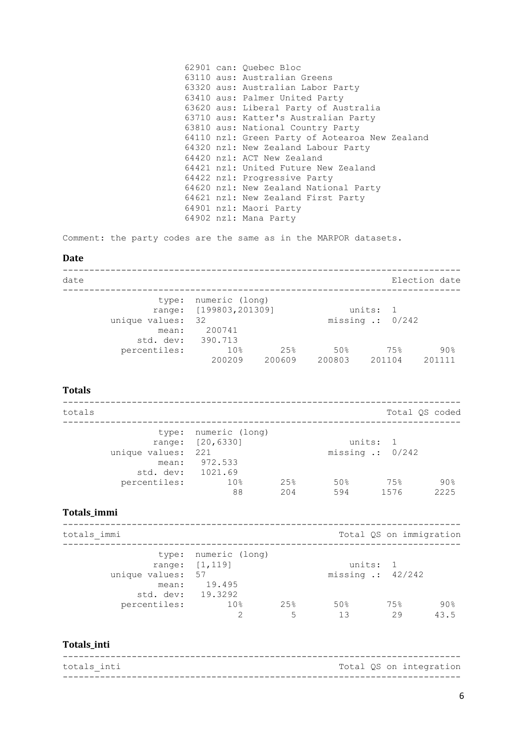|  | 62901 can: Quebec Bloc                         |
|--|------------------------------------------------|
|  | 63110 aus: Australian Greens                   |
|  | 63320 aus: Australian Labor Party              |
|  | 63410 aus: Palmer United Party                 |
|  | 63620 aus: Liberal Party of Australia          |
|  | 63710 aus: Katter's Australian Party           |
|  | 63810 aus: National Country Party              |
|  | 64110 nzl: Green Party of Aotearoa New Zealand |
|  | 64320 nzl: New Zealand Labour Party            |
|  | 64420 nzl: ACT New Zealand                     |
|  | 64421 nzl: United Future New Zealand           |
|  | 64422 nzl: Progressive Party                   |
|  | 64620 nzl: New Zealand National Party          |
|  | 64621 nzl: New Zealand First Party             |
|  | 64901 nzl: Maori Party                         |
|  | 64902 nzl: Mana Party                          |

Comment: the party codes are the same as in the MARPOR datasets.

## <span id="page-5-0"></span>**Date**

| date                                          |                                                                        |                |                                      |                | Election date |               |
|-----------------------------------------------|------------------------------------------------------------------------|----------------|--------------------------------------|----------------|---------------|---------------|
| type:<br>unique values:<br>mean:<br>std. dev: | numeric (long)<br>range: [199803, 201309]<br>- 32<br>200741<br>390.713 |                | units:<br>missing $\therefore$ 0/242 | $\overline{1}$ |               |               |
| percentiles:                                  | 10 <sub>8</sub><br>200209                                              | 2.5%<br>200609 | 50%<br>200803                        | 75%<br>201104  |               | 90%<br>201111 |

## <span id="page-5-1"></span>**Totals**

| totals                                           |                                                     |            |            |                                        | Total OS coded |
|--------------------------------------------------|-----------------------------------------------------|------------|------------|----------------------------------------|----------------|
| unique values: 221<br>mean:<br>std. dev: 1021.69 | type: numeric (long)<br>range: [20,6330]<br>972.533 |            |            | units: 1<br>missing $\therefore$ 0/242 |                |
| percentiles:                                     | 10 <sub>8</sub><br>88                               | 25%<br>204 | 50%<br>594 | 75%<br>1576                            | 90%<br>2225    |

## <span id="page-5-2"></span>**Totals\_immi**

| totals immi                                     |                                                  |           |                             |           | Total QS on immigration |
|-------------------------------------------------|--------------------------------------------------|-----------|-----------------------------|-----------|-------------------------|
| unique values: 57<br>mean:<br>std. dev: 19.3292 | type: numeric (long)<br>range: [1,119]<br>19.495 |           | missing $\therefore$ 42/242 | units: 1  |                         |
| percentiles:                                    | 10 <sup>°</sup><br>っ                             | 2.5%<br>5 | 50%<br>13                   | 75%<br>29 | 90%<br>43.5             |

## <span id="page-5-3"></span>**Totals\_inti**

| totals inti |  | Total QS on integration |
|-------------|--|-------------------------|
|             |  |                         |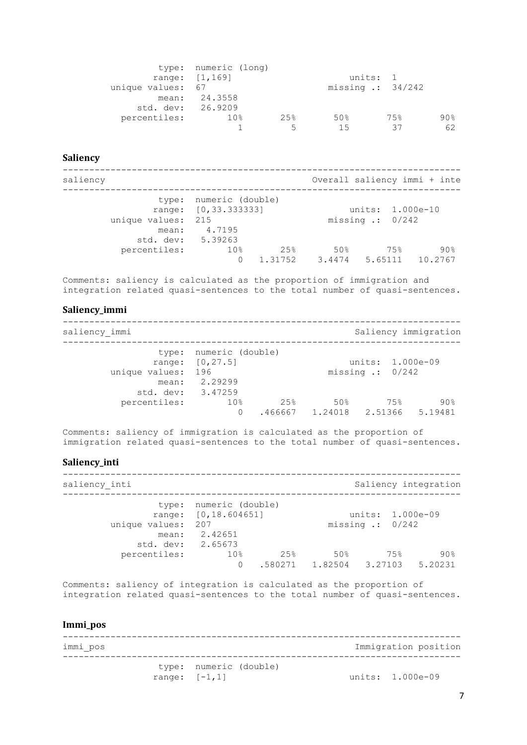|                   | type: numeric (long) |                          |                             |     |     |
|-------------------|----------------------|--------------------------|-----------------------------|-----|-----|
|                   | range: $[1, 169]$    |                          | units: 1                    |     |     |
| unique values: 67 |                      |                          | missing $\therefore$ 34/242 |     |     |
|                   | mean: 24.3558        |                          |                             |     |     |
| std. dev: 26.9209 |                      |                          |                             |     |     |
| percentiles:      | $10\%$               | 25%                      | 50%                         | 75% | 90% |
|                   |                      | $\overline{\phantom{a}}$ | 15                          | スコ  | 62  |

#### <span id="page-6-0"></span>**Saliency**

-------------------------------------------------------------------------- saliency **Supersection Contract Contract Contract Contract Contract Contract Contract Contract Contract Contract Contract Contract Contract Contract Contract Contract Contract Contract Contract Contract Contract Contract C** -------------------------------------------------------------------------- type: numeric (double) range: [0,33.333333] units: 1.000e-10 unique values: 215 missing .: 0/242 mean: 4.7195 std. dev: 5.39263 percentiles: 10% 25% 50% 75% 90%  $0 \qquad 1.31752 \qquad 3.4474 \qquad 5.65111 \qquad 10.2767$ 

Comments: saliency is calculated as the proportion of immigration and integration related quasi-sentences to the total number of quasi-sentences.

#### <span id="page-6-1"></span>**Saliency\_immi**

-------------------------------------------------------------------------- saliency immi Saliency immigration saliency immigration -------------------------------------------------------------------------- type: numeric (double) range: [0,27.5] units: 1.000e-09 unique values: 196 missing .: 0/242 mean: 2.29299 std. dev: 3.47259 percentiles: 10% 25% 50% 75% 90%  $0$  .466667 1.24018 2.51366 5.19481

Comments: saliency of immigration is calculated as the proportion of immigration related quasi-sentences to the total number of quasi-sentences.

#### <span id="page-6-2"></span>**Saliency\_inti**

-------------------------------------------------------------------------- saliency inti  $S$ aliency integration -------------------------------------------------------------------------- type: numeric (double) range: [0,18.604651] units: 1.000e-09 unique values: 207 missing .: 0/242 unique values:  $207$ <br>mean:  $2.42651$ std. dev: 2.65673<br>percentiles: 10% percentiles: 10% 25% 50% 75% 90% 0 .580271 1.82504 3.27103 5.20231

Comments: saliency of integration is calculated as the proportion of integration related quasi-sentences to the total number of quasi-sentences.

### <span id="page-6-3"></span>**Immi\_pos**

-------------------------------------------------------------------------- immi pos **Immigration** position **immigration** position -------------------------------------------------------------------------- type: numeric (double) range:  $[-1, 1]$  units: 1.000e-09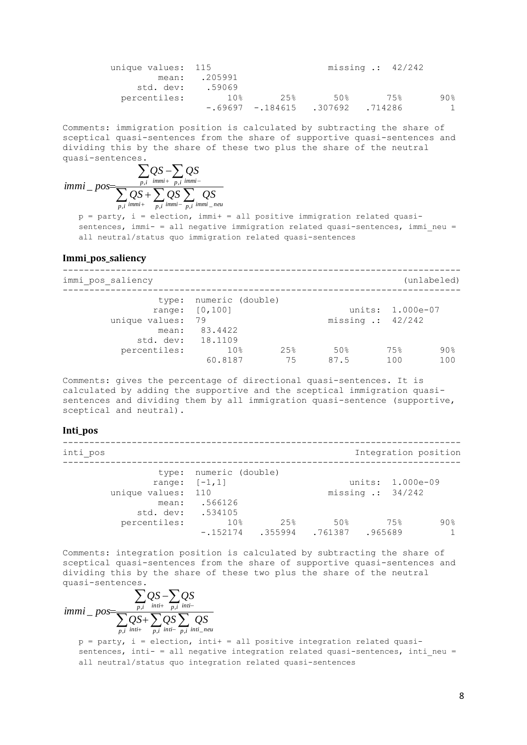| unique values: 115 |               |      |                                   | missing $\cdot$ : 42/242 |     |
|--------------------|---------------|------|-----------------------------------|--------------------------|-----|
|                    | mean: .205991 |      |                                   |                          |     |
| std. dev:          | .59069        |      |                                   |                          |     |
| percentiles:       | 10%           | 2.5% | 50%                               | 75%                      | 90% |
|                    |               |      | $-69697 - 184615$ .307692 .714286 |                          | -1  |

Comments: immigration position is calculated by subtracting the share of sceptical quasi-sentences from the share of supportive quasi-sentences and dividing this by the share of these two plus the share of the neutral quasi-sentences.

$$
immi_{-}pos = \frac{\sum_{p,i}QS - \sum_{p,i}QS}{\sum_{p,i}QS + \sum_{p,i}QS \sum_{p,i} \sum_{lmmi - p,i} OS}
$$

 $p =$  party, i = election, immi+ = all positive immigration related quasisentences, immi- = all negative immigration related quasi-sentences, immi neu = all neutral/status quo immigration related quasi-sentences

#### <span id="page-7-0"></span>**Immi\_pos\_saliency**

| immi pos saliency                            |                                                           |           |             |                                                 | (unlabeled) |
|----------------------------------------------|-----------------------------------------------------------|-----------|-------------|-------------------------------------------------|-------------|
| unique values:<br>mean:<br>std. dev: 18.1109 | type: numeric (double)<br>range: [0,100]<br>79<br>83.4422 |           |             | units: 1.000e-07<br>missing $\therefore$ 42/242 |             |
| percentiles:                                 | 10 <sub>8</sub><br>60.8187                                | 25%<br>75 | 50%<br>87.5 | 75%<br>100                                      | 90%<br>100  |

Comments: gives the percentage of directional quasi-sentences. It is calculated by adding the supportive and the sceptical immigration quasisentences and dividing them by all immigration quasi-sentence (supportive, sceptical and neutral).

#### <span id="page-7-1"></span>**Inti\_pos**

-------------------------------------------------------------------------- inti pos integration position integration position -------------------------------------------------------------------------- type: numeric (double) range:  $[-1, 1]$  units: 1.000e-09 unique values: 110 missing .: 34/242 mean: .566126 std. dev: .534105<br>centiles: 10% percentiles: 10% 25% 50% 75% 90% -.152174 .355994 .761387 .965689 1

Comments: integration position is calculated by subtracting the share of sceptical quasi-sentences from the share of supportive quasi-sentences and dividing this by the share of these two plus the share of the neutral quasi-sentences.

 $\sum QS+\sum QS\sum$  $\sum QS-\sum$  $+\overline{n}i$  inti- $+\overline{n}$  inti- $\overline{+}$  $\overline{a}$  $=$  $\overline{p}$ ,*i inti*  $\overline{p}$ ,*i inti*  $\overline{p}$ ,*i inti neu*  $\overline{p,i}$  *inti*+  $\overline{p,i}$  *inti*  $QS + \sum QS \sum$  *QS*  $QS - \sum QS$ *immi pos*  $\overline{a}$ , inti+  $\overline{p,i}$  inti-  $\overline{p,i}$  inti\_  $= pos = \frac{p_i}{\sum_{i} p_i}$ 

 $p =$  party, i = election, inti+ = all positive integration related quasisentences, inti- = all negative integration related quasi-sentences, inti neu = all neutral/status quo integration related quasi-sentences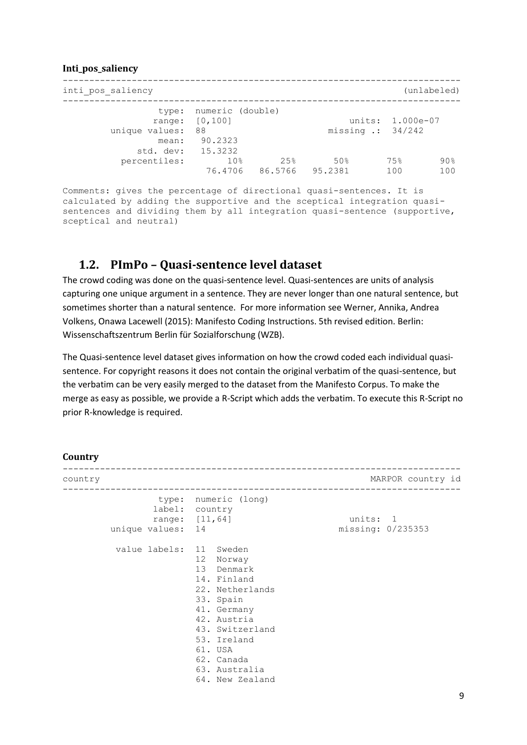### <span id="page-8-0"></span>**Inti\_pos\_saliency**

| inti pos saliency                            |                                                                |                |                |                                                 | (unlabeled) |
|----------------------------------------------|----------------------------------------------------------------|----------------|----------------|-------------------------------------------------|-------------|
| unique values:<br>mean:<br>std. dev: 15.3232 | type: numeric (double)<br>range: $[0, 100]$<br>- 88<br>90.2323 |                |                | units: 1.000e-07<br>missing $\therefore$ 34/242 |             |
| percentiles:                                 | 10 <sub>8</sub><br>76.4706                                     | 25%<br>86.5766 | 50%<br>95.2381 | 75%<br>100                                      | 90%<br>100  |

Comments: gives the percentage of directional quasi-sentences. It is calculated by adding the supportive and the sceptical integration quasisentences and dividing them by all integration quasi-sentence (supportive, sceptical and neutral)

## <span id="page-8-1"></span>**1.2. PImPo – Quasi-sentence level dataset**

The crowd coding was done on the quasi-sentence level. Quasi-sentences are units of analysis capturing one unique argument in a sentence. They are never longer than one natural sentence, but sometimes shorter than a natural sentence. For more information see Werner, Annika, Andrea Volkens, Onawa Lacewell (2015): Manifesto Coding Instructions. 5th revised edition. Berlin: Wissenschaftszentrum Berlin für Sozialforschung (WZB).

The Quasi-sentence level dataset gives information on how the crowd coded each individual quasisentence. For copyright reasons it does not contain the original verbatim of the quasi-sentence, but the verbatim can be very easily merged to the dataset from the Manifesto Corpus. To make the merge as easy as possible, we provide a R-Script which adds the verbatim. To execute this R-Script no prior R-knowledge is required.

#### <span id="page-8-2"></span>**Country**

| country |                         |                                                                                                                                                                                                     | MARPOR country id             |
|---------|-------------------------|-----------------------------------------------------------------------------------------------------------------------------------------------------------------------------------------------------|-------------------------------|
|         | unique values: 14       | type: numeric (long)<br>label: country<br>range: [11,64]                                                                                                                                            | units: 1<br>missing: 0/235353 |
|         | value labels: 11 Sweden | 12 Norway<br>13 Denmark<br>14. Finland<br>22. Netherlands<br>33. Spain<br>41. Germany<br>42. Austria<br>43. Switzerland<br>53. Ireland<br>61. USA<br>62. Canada<br>63. Australia<br>64. New Zealand |                               |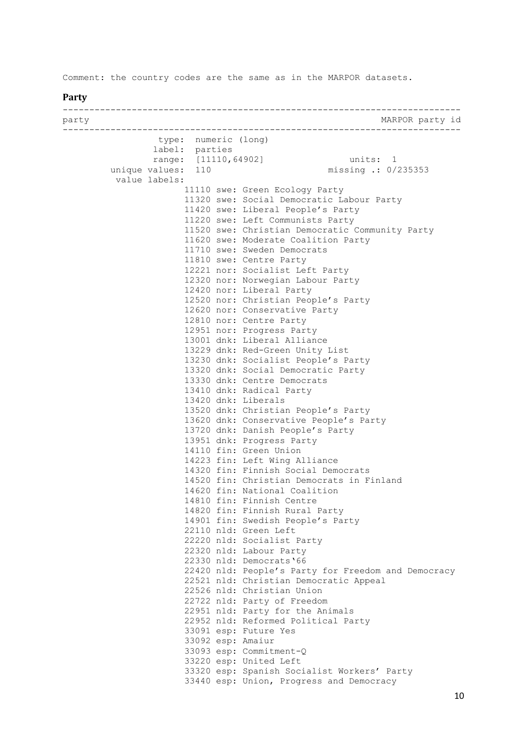<span id="page-9-0"></span>Comment: the country codes are the same as in the MARPOR datasets.

#### **Party**

-------------------------------------------------------------------------- party MARPOR party id -------------------------------------------------------------------------- type: numeric (long) label: parties range: [11110,64902] units: 1 unique values: 110 missing .: 0/235353 value labels: 11110 swe: Green Ecology Party 11320 swe: Social Democratic Labour Party 11420 swe: Liberal People's Party 11220 swe: Left Communists Party 11520 swe: Christian Democratic Community Party 11620 swe: Moderate Coalition Party 11710 swe: Sweden Democrats 11810 swe: Centre Party 12221 nor: Socialist Left Party 12320 nor: Norwegian Labour Party 12420 nor: Liberal Party 12520 nor: Christian People's Party 12620 nor: Conservative Party 12810 nor: Centre Party 12951 nor: Progress Party 13001 dnk: Liberal Alliance 13229 dnk: Red-Green Unity List 13230 dnk: Socialist People's Party 13320 dnk: Social Democratic Party 13330 dnk: Centre Democrats 13410 dnk: Radical Party 13420 dnk: Liberals 13520 dnk: Christian People's Party 13620 dnk: Conservative People's Party 13720 dnk: Danish People's Party 13951 dnk: Progress Party 14110 fin: Green Union 14223 fin: Left Wing Alliance 14320 fin: Finnish Social Democrats 14520 fin: Christian Democrats in Finland 14620 fin: National Coalition 14810 fin: Finnish Centre 14820 fin: Finnish Rural Party 14901 fin: Swedish People's Party 22110 nld: Green Left 22220 nld: Socialist Party 22320 nld: Labour Party 22330 nld: Democrats'66 22420 nld: People's Party for Freedom and Democracy 22521 nld: Christian Democratic Appeal 22526 nld: Christian Union 22722 nld: Party of Freedom 22951 nld: Party for the Animals 22952 nld: Reformed Political Party 33091 esp: Future Yes 33092 esp: Amaiur 33093 esp: Commitment-Q 33220 esp: United Left 33320 esp: Spanish Socialist Workers' Party 33440 esp: Union, Progress and Democracy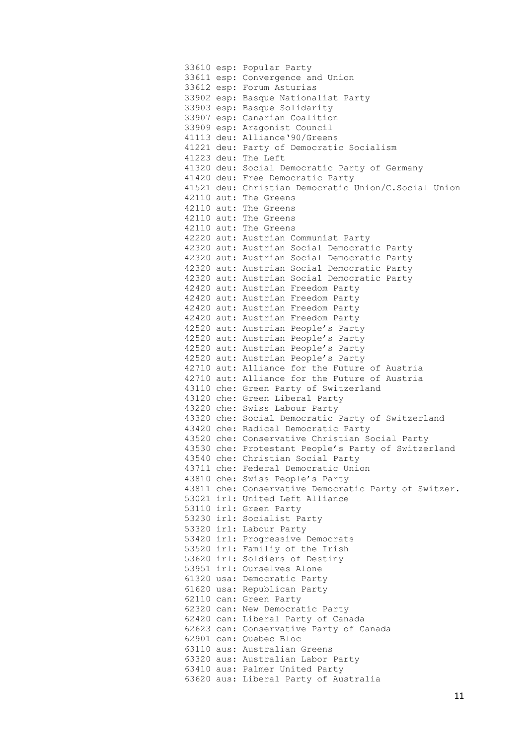33610 esp: Popular Party 33611 esp: Convergence and Union 33612 esp: Forum Asturias 33902 esp: Basque Nationalist Party 33903 esp: Basque Solidarity 33907 esp: Canarian Coalition 33909 esp: Aragonist Council 41113 deu: Alliance'90/Greens 41221 deu: Party of Democratic Socialism 41223 deu: The Left 41320 deu: Social Democratic Party of Germany 41420 deu: Free Democratic Party 41521 deu: Christian Democratic Union/C.Social Union 42110 aut: The Greens 42110 aut: The Greens 42110 aut: The Greens 42110 aut: The Greens 42220 aut: Austrian Communist Party 42320 aut: Austrian Social Democratic Party 42320 aut: Austrian Social Democratic Party 42320 aut: Austrian Social Democratic Party 42320 aut: Austrian Social Democratic Party 42420 aut: Austrian Freedom Party 42420 aut: Austrian Freedom Party 42420 aut: Austrian Freedom Party 42420 aut: Austrian Freedom Party 42520 aut: Austrian People's Party 42520 aut: Austrian People's Party 42520 aut: Austrian People's Party 42520 aut: Austrian People's Party 42710 aut: Alliance for the Future of Austria 42710 aut: Alliance for the Future of Austria 43110 che: Green Party of Switzerland 43120 che: Green Liberal Party 43220 che: Swiss Labour Party 43320 che: Social Democratic Party of Switzerland 43420 che: Radical Democratic Party 43520 che: Conservative Christian Social Party 43530 che: Protestant People's Party of Switzerland 43540 che: Christian Social Party 43711 che: Federal Democratic Union 43810 che: Swiss People's Party 43811 che: Conservative Democratic Party of Switzer. 53021 irl: United Left Alliance 53110 irl: Green Party 53230 irl: Socialist Party 53320 irl: Labour Party 53420 irl: Progressive Democrats 53520 irl: Familiy of the Irish 53620 irl: Soldiers of Destiny 53951 irl: Ourselves Alone 61320 usa: Democratic Party 61620 usa: Republican Party 62110 can: Green Party 62320 can: New Democratic Party 62420 can: Liberal Party of Canada 62623 can: Conservative Party of Canada 62901 can: Quebec Bloc 63110 aus: Australian Greens 63320 aus: Australian Labor Party 63410 aus: Palmer United Party 63620 aus: Liberal Party of Australia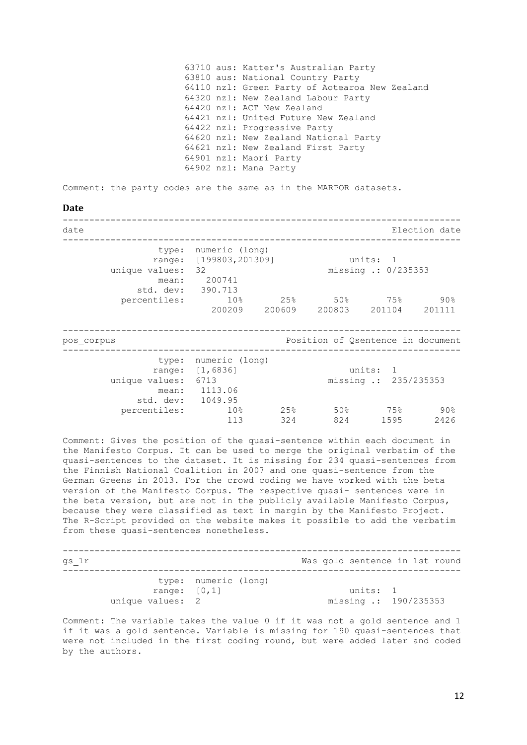<span id="page-11-0"></span>63710 aus: Katter's Australian Party 63810 aus: National Country Party 64110 nzl: Green Party of Aotearoa New Zealand 64320 nzl: New Zealand Labour Party 64420 nzl: ACT New Zealand 64421 nzl: United Future New Zealand 64422 nzl: Progressive Party 64620 nzl: New Zealand National Party 64621 nzl: New Zealand First Party 64901 nzl: Maori Party 64902 nzl: Mana Party Comment: the party codes are the same as in the MARPOR datasets. **Date** -------------------------------------------------------------------------- date Election date -------------------------------------------------------------------------- type: numeric (long) range: [199803,201309] units: 1 unique values: 32 missing .: 0/235353 mean: 200741 std. dev: 390.713 percentiles: 10% 25% 50% 75% 90% 200209 200609 200803 201104 201111 -------------------------------------------------------------------------- pos corpus  $\sim$  Position of Qsentence in document -------------------------------------------------------------------------- type: numeric (long) range: [1,6836] units: 1 unique values: 6713 missing .: 235/235353 mean: 1113.06 std. dev: 1049.95 percentiles: 10% 25% 50% 75% 90% 113 324 824 1595 2426

Comment: Gives the position of the quasi-sentence within each document in the Manifesto Corpus. It can be used to merge the original verbatim of the quasi-sentences to the dataset. It is missing for 234 quasi-sentences from the Finnish National Coalition in 2007 and one quasi-sentence from the German Greens in 2013. For the crowd coding we have worked with the beta version of the Manifesto Corpus. The respective quasi- sentences were in the beta version, but are not in the publicly available Manifesto Corpus, because they were classified as text in margin by the Manifesto Project. The R-Script provided on the website makes it possible to add the verbatim from these quasi-sentences nonetheless.

| gs 1r                               |                      | Was gold sentence in 1st round    |  |
|-------------------------------------|----------------------|-----------------------------------|--|
| range: $[0, 1]$<br>unique values: 2 | type: numeric (long) | units: 1<br>missing .: 190/235353 |  |

Comment: The variable takes the value 0 if it was not a gold sentence and 1 if it was a gold sentence. Variable is missing for 190 quasi-sentences that were not included in the first coding round, but were added later and coded by the authors.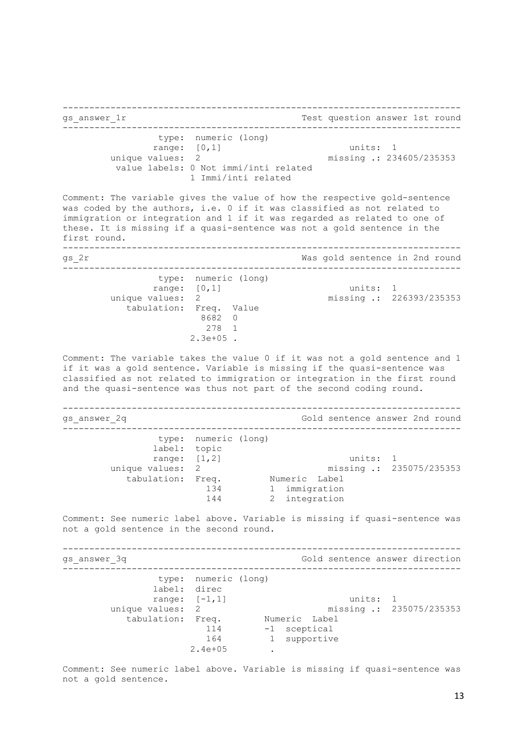-------------------------------------------------------------------------- gs answer 1r 1000 million answer 1st round -------------------------------------------------------------------------- type: numeric (long) range: [0,1] units: 1 unique values: 2 missing .: 234605/235353 value labels: 0 Not immi/inti related 1 Immi/inti related Comment: The variable gives the value of how the respective gold-sentence was coded by the authors, i.e. 0 if it was classified as not related to immigration or integration and 1 if it was regarded as related to one of these. It is missing if a quasi-sentence was not a gold sentence in the first round. -------------------------------------------------------------------------- gs  $2r$  Was gold sentence in 2nd round -------------------------------------------------------------------------- type: numeric (long) range: [0,1] units: 1 unique values: 2 missing .: 226393/235353 tabulation: Freq. Value 8682 0 278 1 2.3e+05 . Comment: The variable takes the value 0 if it was not a gold sentence and 1 if it was a gold sentence. Variable is missing if the quasi-sentence was classified as not related to immigration or integration in the first round and the quasi-sentence was thus not part of the second coding round. -------------------------------------------------------------------------- gs answer 2q answer 2001 Cold sentence answer 2nd round -------------------------------------------------------------------------- type: numeric (long) label: topic range: [1,2] units: 1 unique values: 2 missing .: 235075/235353 tabulation: Freq. Numeric Label 134 1 immigration 144 2 integration Comment: See numeric label above. Variable is missing if quasi-sentence was not a gold sentence in the second round. -------------------------------------------------------------------------- gs\_answer\_3q Gold sentence answer direction -------------------------------------------------------------------------- type: numeric (long) label: direc range:  $[-1,1]$  units: 1<br>unique values: 2 missing : 23 missing .: 235075/235353 tabulation: Freq. Numeric Label 114 -1 sceptical 164 - subportive<br>164 - 11 supportive  $2.4e+0.5$ 

Comment: See numeric label above. Variable is missing if quasi-sentence was not a gold sentence.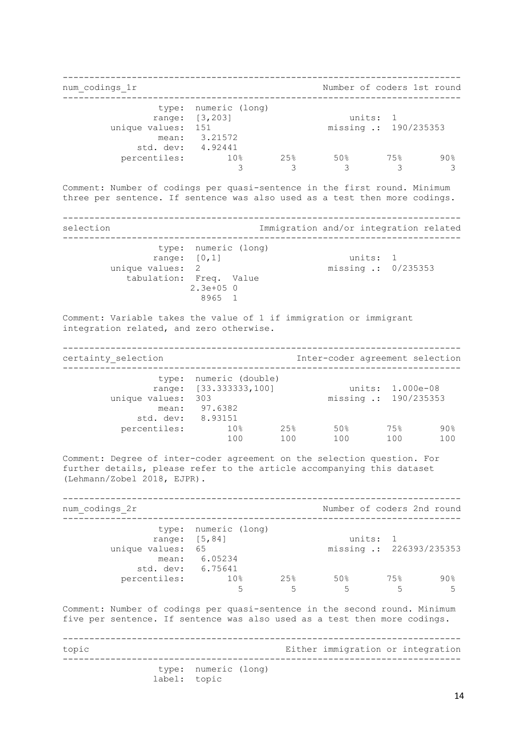-------------------------------------------------------------------------- num codings 1r Number of coders 1st round -------------------------------------------------------------------------- type: numeric (long) range: [3,203] units: 1 unique values: 151 missing .: 190/235353 mean: 3.21572 std. dev: 4.92441 percentiles: 10% 25% 50% 75% 90% 3 3 3 3 3 Comment: Number of codings per quasi-sentence in the first round. Minimum three per sentence. If sentence was also used as a test then more codings. -------------------------------------------------------------------------- selection **Immigration** and/or integration related -------------------------------------------------------------------------- type: numeric (long) range: [0,1] units: 1 unique values: 2 missing .: 0/235353 tabulation: Freq. Value 2.3e+05 0 8965 1 Comment: Variable takes the value of 1 if immigration or immigrant integration related, and zero otherwise. -------------------------------------------------------------------------- certainty selection and Inter-coder agreement selection -------------------------------------------------------------------------- type: numeric (double) range: [33.333333,100] units: 1.000e-08 unique values: 303 missing .: 190/235353 mean: 97.6382 std. dev: 8.93151 percentiles: 10% 25% 50% 75% 90% 100 100 100 100 100 Comment: Degree of inter-coder agreement on the selection question. For further details, please refer to the article accompanying this dataset (Lehmann/Zobel 2018, EJPR). -------------------------------------------------------------------------- num codings  $2r$  Number of coders 2nd round -------------------------------------------------------------------------- type: numeric (long) range: [5,84] units: 1 unique values: 65 missing .: 226393/235353 mean: 6.05234 std. dev: 6.75641 percentiles: 10% 25% 50% 75% 90%  $5$  5 5 5 5 5 5 5 Comment: Number of codings per quasi-sentence in the second round. Minimum five per sentence. If sentence was also used as a test then more codings. -------------------------------------------------------------------------- topic Either immigration or integration -------------------------------------------------------------------------- type: numeric (long) label: topic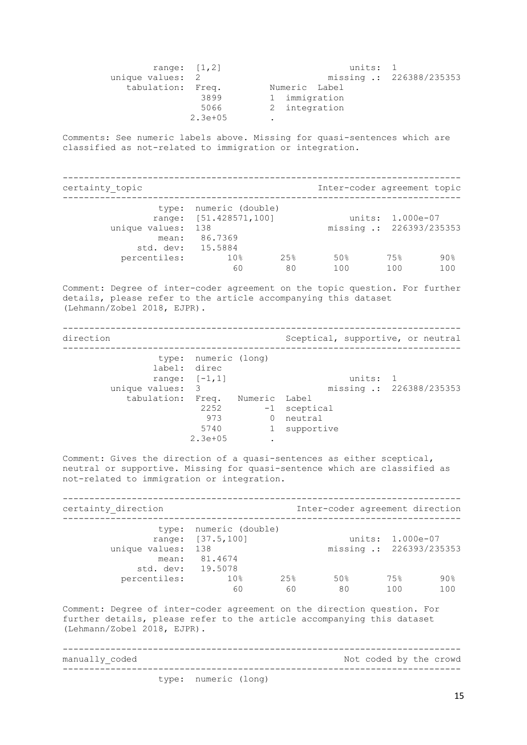| range: $[1, 2]$   |           | units: 1      |                          |
|-------------------|-----------|---------------|--------------------------|
| unique values: 2  |           |               | missing .: 226388/235353 |
| tabulation: Freq. |           | Numeric Label |                          |
|                   | 3899      | 1 immigration |                          |
|                   | 5066      | 2 integration |                          |
|                   | $2.3e+05$ |               |                          |

Comments: See numeric labels above. Missing for quasi-sentences which are classified as not-related to immigration or integration.

| certainty topic                              |                                                                    |     | Inter-coder agreement topic |                                              |        |
|----------------------------------------------|--------------------------------------------------------------------|-----|-----------------------------|----------------------------------------------|--------|
| unique values:<br>mean:<br>std. dev: 15.5884 | type: numeric (double)<br>range: [51.428571,100]<br>138<br>86.7369 |     |                             | units: 1.000e-07<br>missing .: 226393/235353 |        |
| percentiles:                                 | 10 <sub>8</sub>                                                    | 25% | 50%                         | 75%                                          | $90\%$ |
|                                              | 60                                                                 | 80  | 100                         | 100                                          | 100    |

Comment: Degree of inter-coder agreement on the topic question. For further details, please refer to the article accompanying this dataset (Lehmann/Zobel 2018, EJPR).

-------------------------------------------------------------------------- direction Sceptical, supportive, or neutral

|                   | type: numeric (long)<br>label: direc |                  |              |                          |
|-------------------|--------------------------------------|------------------|--------------|--------------------------|
|                   | range: $[-1, 1]$                     |                  | units: 1     |                          |
| unique values: 3  |                                      |                  |              | missing .: 226388/235353 |
| tabulation: Freq. |                                      | Numeric Label    |              |                          |
|                   | 2252                                 |                  | -1 sceptical |                          |
|                   | 973                                  | $\left( \right)$ | neutral      |                          |
|                   | 5740                                 |                  | 1 supportive |                          |
|                   | $2.3e + 05$                          |                  |              |                          |
|                   |                                      |                  |              |                          |

Comment: Gives the direction of a quasi-sentences as either sceptical, neutral or supportive. Missing for quasi-sentence which are classified as not-related to immigration or integration.

-------------------------------------------------------------------------- certainty direction and Inter-coder agreement direction -------------------------------------------------------------------------- type: numeric (double) range: [37.5,100] units: 1.000e-07 unique values: 138 missing .: 226393/235353 mean: 81.4674 std. dev: 19.5078 percentiles: 10% 25% 50% 75% 90% 60 60 80 100 100

Comment: Degree of inter-coder agreement on the direction question. For further details, please refer to the article accompanying this dataset (Lehmann/Zobel 2018, EJPR).

-------------------------------------------------------------------------- manually coded  $N$  and  $N$  and  $N$  and  $N$  and  $N$  and  $N$  are crowded by the crowd -------------------------------------------------------------------------- type: numeric (long)